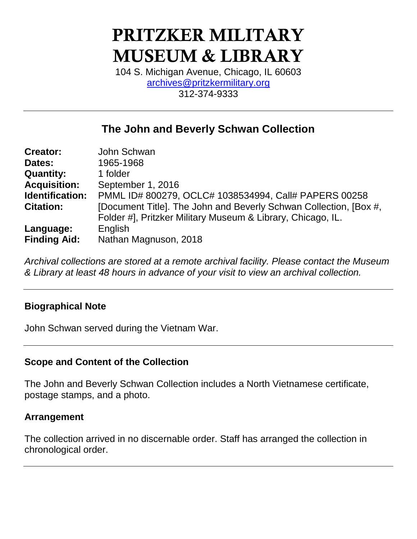# **PRITZKER MILITARY MUSEUM & LIBRARY**

104 S. Michigan Avenue, Chicago, IL 60603 [archives@pritzkermilitary.org](mailto:archives@pritzkermilitary.org) 312-374-9333

## **The John and Beverly Schwan Collection**

| <b>Creator:</b>     | John Schwan                                                                                                                      |
|---------------------|----------------------------------------------------------------------------------------------------------------------------------|
| Dates:              | 1965-1968                                                                                                                        |
| <b>Quantity:</b>    | 1 folder                                                                                                                         |
| <b>Acquisition:</b> | September 1, 2016                                                                                                                |
| Identification:     | PMML ID# 800279, OCLC# 1038534994, Call# PAPERS 00258                                                                            |
| <b>Citation:</b>    | [Document Title]. The John and Beverly Schwan Collection, [Box #,<br>Folder #], Pritzker Military Museum & Library, Chicago, IL. |
|                     |                                                                                                                                  |
| Language:           | English                                                                                                                          |
| <b>Finding Aid:</b> | Nathan Magnuson, 2018                                                                                                            |

*Archival collections are stored at a remote archival facility. Please contact the Museum & Library at least 48 hours in advance of your visit to view an archival collection.*

## **Biographical Note**

John Schwan served during the Vietnam War.

## **Scope and Content of the Collection**

The John and Beverly Schwan Collection includes a North Vietnamese certificate, postage stamps, and a photo.

#### **Arrangement**

The collection arrived in no discernable order. Staff has arranged the collection in chronological order.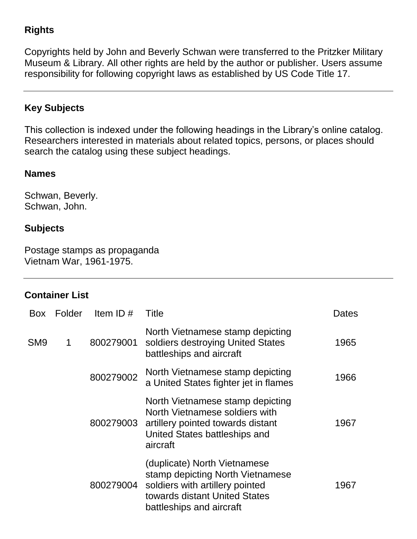## **Rights**

Copyrights held by John and Beverly Schwan were transferred to the Pritzker Military Museum & Library. All other rights are held by the author or publisher. Users assume responsibility for following copyright laws as established by US Code Title 17.

## **Key Subjects**

This collection is indexed under the following headings in the Library's online catalog. Researchers interested in materials about related topics, persons, or places should search the catalog using these subject headings.

#### **Names**

Schwan, Beverly. Schwan, John.

## **Subjects**

Postage stamps as propaganda Vietnam War, 1961-1975.

## **Container List**

| Box             | Folder | Item ID $#$ | Title                                                                                                                                                            | Dates |
|-----------------|--------|-------------|------------------------------------------------------------------------------------------------------------------------------------------------------------------|-------|
| SM <sub>9</sub> | 1      | 800279001   | North Vietnamese stamp depicting<br>soldiers destroying United States<br>battleships and aircraft                                                                | 1965  |
|                 |        | 800279002   | North Vietnamese stamp depicting<br>a United States fighter jet in flames                                                                                        | 1966  |
|                 |        | 800279003   | North Vietnamese stamp depicting<br>North Vietnamese soldiers with<br>artillery pointed towards distant<br>United States battleships and<br>aircraft             | 1967  |
|                 |        | 800279004   | (duplicate) North Vietnamese<br>stamp depicting North Vietnamese<br>soldiers with artillery pointed<br>towards distant United States<br>battleships and aircraft | 1967  |